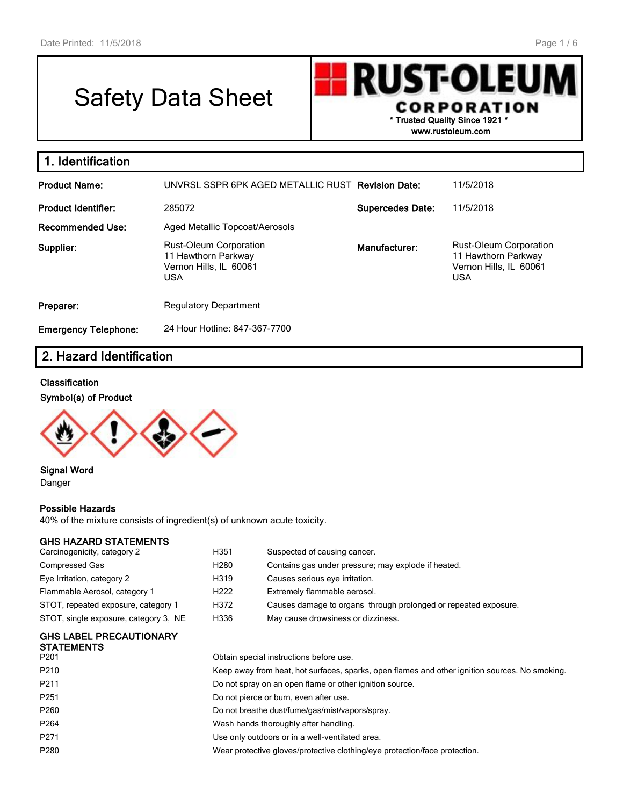# Safety Data Sheet

**RUST-OLEU CORPORATION \* Trusted Quality Since 1921 \* www.rustoleum.com**

| 1. Identification           |                                                                                       |                         |                                                                                       |
|-----------------------------|---------------------------------------------------------------------------------------|-------------------------|---------------------------------------------------------------------------------------|
| <b>Product Name:</b>        | UNVRSL SSPR 6PK AGED METALLIC RUST Revision Date:                                     |                         | 11/5/2018                                                                             |
| <b>Product Identifier:</b>  | 285072                                                                                | <b>Supercedes Date:</b> | 11/5/2018                                                                             |
| <b>Recommended Use:</b>     | Aged Metallic Topcoat/Aerosols                                                        |                         |                                                                                       |
| Supplier:                   | Rust-Oleum Corporation<br>11 Hawthorn Parkway<br>Vernon Hills, IL 60061<br><b>USA</b> | Manufacturer:           | Rust-Oleum Corporation<br>11 Hawthorn Parkway<br>Vernon Hills, IL 60061<br><b>USA</b> |
| Preparer:                   | <b>Regulatory Department</b>                                                          |                         |                                                                                       |
| <b>Emergency Telephone:</b> | 24 Hour Hotline: 847-367-7700                                                         |                         |                                                                                       |

# **2. Hazard Identification**

#### **Classification**

#### **Symbol(s) of Product**



**Signal Word** Danger

#### **Possible Hazards**

40% of the mixture consists of ingredient(s) of unknown acute toxicity.

#### **GHS HAZARD STATEMENTS**

| Carcinogenicity, category 2                         | H351                                                                                           | Suspected of causing cancer.                                    |  |  |
|-----------------------------------------------------|------------------------------------------------------------------------------------------------|-----------------------------------------------------------------|--|--|
| Compressed Gas                                      | H <sub>280</sub>                                                                               | Contains gas under pressure; may explode if heated.             |  |  |
| Eye Irritation, category 2                          | H319                                                                                           | Causes serious eye irritation.                                  |  |  |
| Flammable Aerosol, category 1                       | H <sub>222</sub>                                                                               | Extremely flammable aerosol.                                    |  |  |
| STOT, repeated exposure, category 1                 | H372                                                                                           | Causes damage to organs through prolonged or repeated exposure. |  |  |
| STOT, single exposure, category 3, NE               | H336                                                                                           | May cause drowsiness or dizziness.                              |  |  |
| <b>GHS LABEL PRECAUTIONARY</b><br><b>STATEMENTS</b> |                                                                                                |                                                                 |  |  |
| P <sub>201</sub>                                    | Obtain special instructions before use.                                                        |                                                                 |  |  |
| P <sub>210</sub>                                    | Keep away from heat, hot surfaces, sparks, open flames and other ignition sources. No smoking. |                                                                 |  |  |
| P211                                                |                                                                                                | Do not spray on an open flame or other ignition source.         |  |  |

P251 **Do not pierce or burn, even after use.** 

P260 **Do not breathe dust/fume/gas/mist/vapors/spray.** 

P264 Wash hands thoroughly after handling.

P271 Use only outdoors or in a well-ventilated area.

P280 Wear protective gloves/protective clothing/eye protection/face protection.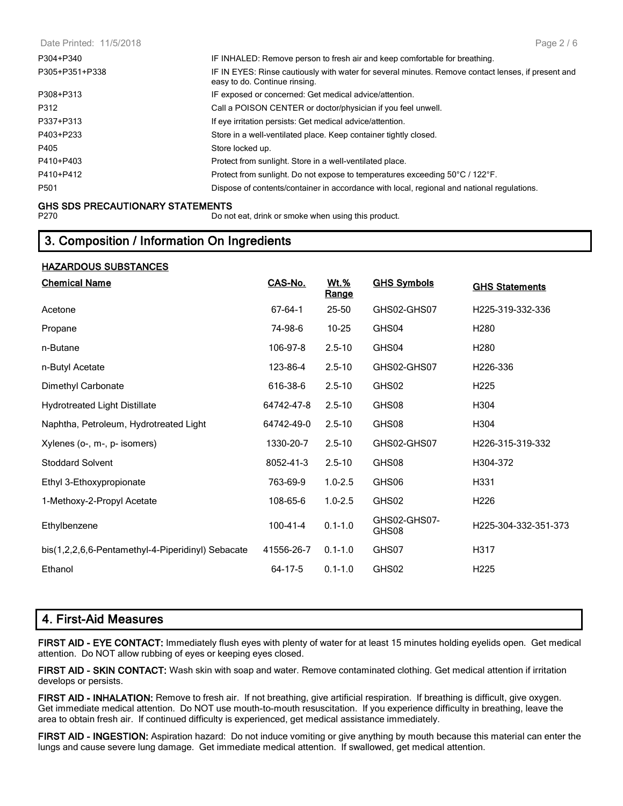Date Printed: 11/5/2018 P304+P340 IF INHALED: Remove person to fresh air and keep comfortable for breathing. P305+P351+P338 IF IN EYES: Rinse cautiously with water for several minutes. Remove contact lenses, if present and easy to do. Continue rinsing. P308+P313 IF exposed or concerned: Get medical advice/attention. P312 **Call a POISON CENTER or doctor/physician if you feel unwell.** P337+P313 If eye irritation persists: Get medical advice/attention. P403+P233 Store in a well-ventilated place. Keep container tightly closed. P405 **Store locked up.** Store locked up. P410+P403 Protect from sunlight. Store in a well-ventilated place. P410+P412 Protect from sunlight. Do not expose to temperatures exceeding 50°C / 122°F. P501 Dispose of contents/container in accordance with local, regional and national regulations. Page 2 / 6

#### **GHS SDS PRECAUTIONARY STATEMENTS**

**HAZARDOUS SUBSTANCES**

P270 Do not eat, drink or smoke when using this product.

## **3. Composition / Information On Ingredients**

| <u>IIMANDUUJ JUDJIMIULU</u>                       |                |               |                       |                       |
|---------------------------------------------------|----------------|---------------|-----------------------|-----------------------|
| <b>Chemical Name</b>                              | CAS-No.        | Wt.%<br>Range | <b>GHS Symbols</b>    | <b>GHS Statements</b> |
| Acetone                                           | 67-64-1        | $25 - 50$     | GHS02-GHS07           | H225-319-332-336      |
| Propane                                           | 74-98-6        | $10 - 25$     | GHS04                 | H <sub>280</sub>      |
| n-Butane                                          | 106-97-8       | $2.5 - 10$    | GHS04                 | H <sub>280</sub>      |
| n-Butyl Acetate                                   | 123-86-4       | $2.5 - 10$    | GHS02-GHS07           | H226-336              |
| Dimethyl Carbonate                                | 616-38-6       | $2.5 - 10$    | GHS02                 | H <sub>225</sub>      |
| <b>Hydrotreated Light Distillate</b>              | 64742-47-8     | $2.5 - 10$    | GHS08                 | H304                  |
| Naphtha, Petroleum, Hydrotreated Light            | 64742-49-0     | $2.5 - 10$    | GHS08                 | H304                  |
| Xylenes (o-, m-, p- isomers)                      | 1330-20-7      | $2.5 - 10$    | GHS02-GHS07           | H226-315-319-332      |
| <b>Stoddard Solvent</b>                           | 8052-41-3      | $2.5 - 10$    | GHS08                 | H304-372              |
| Ethyl 3-Ethoxypropionate                          | 763-69-9       | $1.0 - 2.5$   | GHS06                 | H331                  |
| 1-Methoxy-2-Propyl Acetate                        | 108-65-6       | $1.0 - 2.5$   | GHS02                 | H <sub>226</sub>      |
| Ethylbenzene                                      | $100 - 41 - 4$ | $0.1 - 1.0$   | GHS02-GHS07-<br>GHS08 | H225-304-332-351-373  |
| bis(1,2,2,6,6-Pentamethyl-4-Piperidinyl) Sebacate | 41556-26-7     | $0.1 - 1.0$   | GHS07                 | H317                  |
| Ethanol                                           | 64-17-5        | $0.1 - 1.0$   | GHS02                 | H <sub>225</sub>      |
|                                                   |                |               |                       |                       |

# **4. First-Aid Measures**

**FIRST AID - EYE CONTACT:** Immediately flush eyes with plenty of water for at least 15 minutes holding eyelids open. Get medical attention. Do NOT allow rubbing of eyes or keeping eyes closed.

**FIRST AID - SKIN CONTACT:** Wash skin with soap and water. Remove contaminated clothing. Get medical attention if irritation develops or persists.

**FIRST AID - INHALATION:** Remove to fresh air. If not breathing, give artificial respiration. If breathing is difficult, give oxygen. Get immediate medical attention. Do NOT use mouth-to-mouth resuscitation. If you experience difficulty in breathing, leave the area to obtain fresh air. If continued difficulty is experienced, get medical assistance immediately.

**FIRST AID - INGESTION:** Aspiration hazard: Do not induce vomiting or give anything by mouth because this material can enter the lungs and cause severe lung damage. Get immediate medical attention. If swallowed, get medical attention.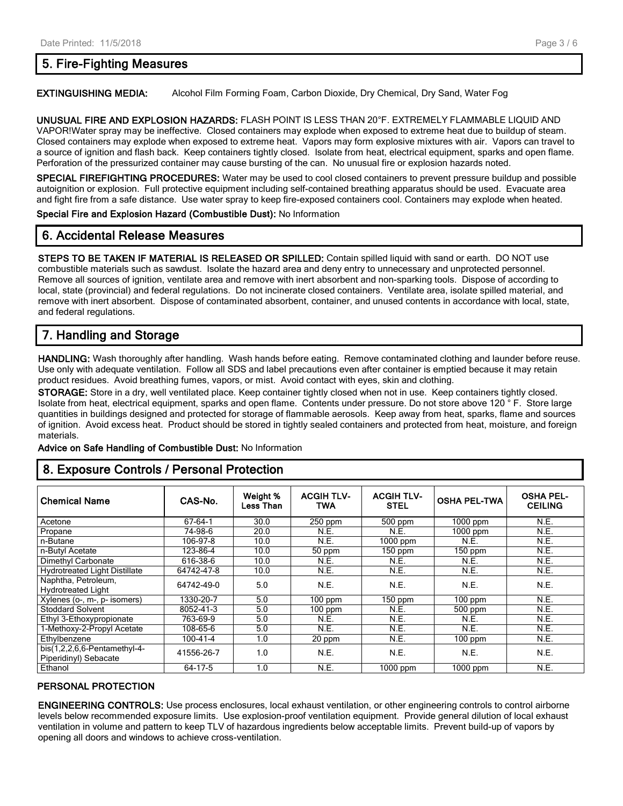# **5. Fire-Fighting Measures**

**EXTINGUISHING MEDIA:** Alcohol Film Forming Foam, Carbon Dioxide, Dry Chemical, Dry Sand, Water Fog

**UNUSUAL FIRE AND EXPLOSION HAZARDS:** FLASH POINT IS LESS THAN 20°F. EXTREMELY FLAMMABLE LIQUID AND VAPOR!Water spray may be ineffective. Closed containers may explode when exposed to extreme heat due to buildup of steam. Closed containers may explode when exposed to extreme heat. Vapors may form explosive mixtures with air. Vapors can travel to a source of ignition and flash back. Keep containers tightly closed. Isolate from heat, electrical equipment, sparks and open flame. Perforation of the pressurized container may cause bursting of the can. No unusual fire or explosion hazards noted.

**SPECIAL FIREFIGHTING PROCEDURES:** Water may be used to cool closed containers to prevent pressure buildup and possible autoignition or explosion. Full protective equipment including self-contained breathing apparatus should be used. Evacuate area and fight fire from a safe distance. Use water spray to keep fire-exposed containers cool. Containers may explode when heated.

**Special Fire and Explosion Hazard (Combustible Dust):** No Information

# **6. Accidental Release Measures**

**STEPS TO BE TAKEN IF MATERIAL IS RELEASED OR SPILLED:** Contain spilled liquid with sand or earth. DO NOT use combustible materials such as sawdust. Isolate the hazard area and deny entry to unnecessary and unprotected personnel. Remove all sources of ignition, ventilate area and remove with inert absorbent and non-sparking tools. Dispose of according to local, state (provincial) and federal regulations. Do not incinerate closed containers. Ventilate area, isolate spilled material, and remove with inert absorbent. Dispose of contaminated absorbent, container, and unused contents in accordance with local, state, and federal regulations.

# **7. Handling and Storage**

**HANDLING:** Wash thoroughly after handling. Wash hands before eating. Remove contaminated clothing and launder before reuse. Use only with adequate ventilation. Follow all SDS and label precautions even after container is emptied because it may retain product residues. Avoid breathing fumes, vapors, or mist. Avoid contact with eyes, skin and clothing.

**STORAGE:** Store in a dry, well ventilated place. Keep container tightly closed when not in use. Keep containers tightly closed. Isolate from heat, electrical equipment, sparks and open flame. Contents under pressure. Do not store above 120 ° F. Store large quantities in buildings designed and protected for storage of flammable aerosols. Keep away from heat, sparks, flame and sources of ignition. Avoid excess heat. Product should be stored in tightly sealed containers and protected from heat, moisture, and foreign materials.

**Advice on Safe Handling of Combustible Dust:** No Information

# **8. Exposure Controls / Personal Protection**

| <b>Chemical Name</b>                               | CAS-No.    | Weight %<br>Less Than | <b>ACGIH TLV-</b><br>TWA | <b>ACGIH TLV-</b><br><b>STEL</b> | <b>OSHA PEL-TWA</b> | <b>OSHA PEL-</b><br><b>CEILING</b> |
|----------------------------------------------------|------------|-----------------------|--------------------------|----------------------------------|---------------------|------------------------------------|
| Acetone                                            | 67-64-1    | 30.0                  | $250$ ppm                | 500 ppm                          | 1000 ppm            | N.E.                               |
| Propane                                            | 74-98-6    | 20.0                  | N.E.                     | N.E.                             | 1000 ppm            | N.E.                               |
| n-Butane                                           | 106-97-8   | 10.0                  | N.E.                     | $1000$ ppm                       | N.E.                | N.E.                               |
| n-Butyl Acetate                                    | 123-86-4   | 10.0                  | 50 ppm                   | $150$ ppm                        | $150$ ppm           | N.E.                               |
| Dimethyl Carbonate                                 | 616-38-6   | 10.0                  | N.E.                     | N.E.                             | N.E.                | N.E.                               |
| <b>Hydrotreated Light Distillate</b>               | 64742-47-8 | 10.0                  | N.E.                     | <b>N.E.</b>                      | N.E.                | N.E.                               |
| Naphtha, Petroleum,<br><b>Hydrotreated Light</b>   | 64742-49-0 | 5.0                   | N.E.                     | N.E.                             | N.E.                | N.E.                               |
| Xylenes (o-, m-, p- isomers)                       | 1330-20-7  | 5.0                   | $100$ ppm                | $150$ ppm                        | $100$ ppm           | N.E.                               |
| <b>Stoddard Solvent</b>                            | 8052-41-3  | 5.0                   | $100$ ppm                | <b>N.E.</b>                      | $500$ ppm           | N.E.                               |
| Ethyl 3-Ethoxypropionate                           | 763-69-9   | 5.0                   | N.E.                     | N.E.                             | N.E.                | N.E.                               |
| 1-Methoxy-2-Propyl Acetate                         | 108-65-6   | 5.0                   | N.E.                     | N.E.                             | N.E.                | N.E.                               |
| Ethylbenzene                                       | 100-41-4   | 1.0                   | 20 ppm                   | N.E.                             | $100$ ppm           | N.E.                               |
| $bis(1,2,2,6,6-Pentament$<br>Piperidinyl) Sebacate | 41556-26-7 | 1.0                   | N.E.                     | N.E.                             | N.E.                | N.E.                               |
| Ethanol                                            | 64-17-5    | 1.0                   | N.E.                     | $1000$ ppm                       | $1000$ ppm          | N.E.                               |

#### **PERSONAL PROTECTION**

**ENGINEERING CONTROLS:** Use process enclosures, local exhaust ventilation, or other engineering controls to control airborne levels below recommended exposure limits. Use explosion-proof ventilation equipment. Provide general dilution of local exhaust ventilation in volume and pattern to keep TLV of hazardous ingredients below acceptable limits. Prevent build-up of vapors by opening all doors and windows to achieve cross-ventilation.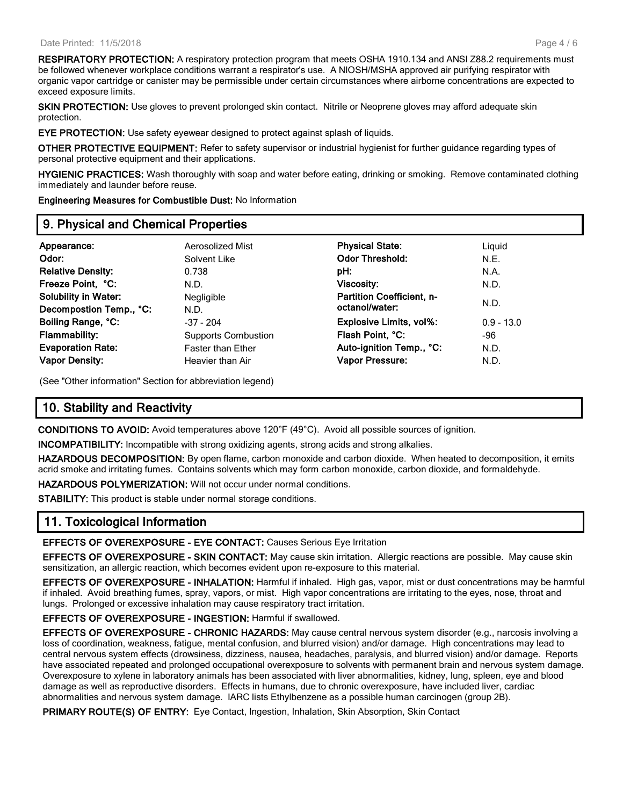**RESPIRATORY PROTECTION:** A respiratory protection program that meets OSHA 1910.134 and ANSI Z88.2 requirements must be followed whenever workplace conditions warrant a respirator's use. A NIOSH/MSHA approved air purifying respirator with organic vapor cartridge or canister may be permissible under certain circumstances where airborne concentrations are expected to exceed exposure limits.

**SKIN PROTECTION:** Use gloves to prevent prolonged skin contact. Nitrile or Neoprene gloves may afford adequate skin protection.

**EYE PROTECTION:** Use safety eyewear designed to protect against splash of liquids.

**OTHER PROTECTIVE EQUIPMENT:** Refer to safety supervisor or industrial hygienist for further guidance regarding types of personal protective equipment and their applications.

**HYGIENIC PRACTICES:** Wash thoroughly with soap and water before eating, drinking or smoking. Remove contaminated clothing immediately and launder before reuse.

**Engineering Measures for Combustible Dust:** No Information

#### **9. Physical and Chemical Properties**

| Appearance:                 | Aerosolized Mist           | <b>Physical State:</b>           | Liquid       |  |
|-----------------------------|----------------------------|----------------------------------|--------------|--|
| Odor:                       | Solvent Like               | <b>Odor Threshold:</b>           | N.E.         |  |
| <b>Relative Density:</b>    | 0.738                      | pH:                              | N.A.         |  |
| Freeze Point, °C:           | N.D.                       | Viscosity:                       | N.D.         |  |
| <b>Solubility in Water:</b> | Negligible                 | <b>Partition Coefficient, n-</b> |              |  |
| Decompostion Temp., °C:     | N.D.                       | octanol/water:                   | N.D.         |  |
| Boiling Range, °C:          | $-37 - 204$                | <b>Explosive Limits, vol%:</b>   | $0.9 - 13.0$ |  |
| <b>Flammability:</b>        | <b>Supports Combustion</b> | Flash Point, °C:                 | -96          |  |
| <b>Evaporation Rate:</b>    | <b>Faster than Ether</b>   | Auto-ignition Temp., °C:         | N.D.         |  |
| <b>Vapor Density:</b>       | Heavier than Air           | <b>Vapor Pressure:</b>           | N.D.         |  |
|                             |                            |                                  |              |  |

(See "Other information" Section for abbreviation legend)

# **10. Stability and Reactivity**

**CONDITIONS TO AVOID:** Avoid temperatures above 120°F (49°C). Avoid all possible sources of ignition.

**INCOMPATIBILITY:** Incompatible with strong oxidizing agents, strong acids and strong alkalies.

**HAZARDOUS DECOMPOSITION:** By open flame, carbon monoxide and carbon dioxide. When heated to decomposition, it emits acrid smoke and irritating fumes. Contains solvents which may form carbon monoxide, carbon dioxide, and formaldehyde.

**HAZARDOUS POLYMERIZATION:** Will not occur under normal conditions.

**STABILITY:** This product is stable under normal storage conditions.

#### **11. Toxicological Information**

**EFFECTS OF OVEREXPOSURE - EYE CONTACT:** Causes Serious Eye Irritation

**EFFECTS OF OVEREXPOSURE - SKIN CONTACT:** May cause skin irritation. Allergic reactions are possible. May cause skin sensitization, an allergic reaction, which becomes evident upon re-exposure to this material.

**EFFECTS OF OVEREXPOSURE - INHALATION:** Harmful if inhaled. High gas, vapor, mist or dust concentrations may be harmful if inhaled. Avoid breathing fumes, spray, vapors, or mist. High vapor concentrations are irritating to the eyes, nose, throat and lungs. Prolonged or excessive inhalation may cause respiratory tract irritation.

**EFFECTS OF OVEREXPOSURE - INGESTION:** Harmful if swallowed.

**EFFECTS OF OVEREXPOSURE - CHRONIC HAZARDS:** May cause central nervous system disorder (e.g., narcosis involving a loss of coordination, weakness, fatigue, mental confusion, and blurred vision) and/or damage. High concentrations may lead to central nervous system effects (drowsiness, dizziness, nausea, headaches, paralysis, and blurred vision) and/or damage. Reports have associated repeated and prolonged occupational overexposure to solvents with permanent brain and nervous system damage. Overexposure to xylene in laboratory animals has been associated with liver abnormalities, kidney, lung, spleen, eye and blood damage as well as reproductive disorders. Effects in humans, due to chronic overexposure, have included liver, cardiac abnormalities and nervous system damage. IARC lists Ethylbenzene as a possible human carcinogen (group 2B).

**PRIMARY ROUTE(S) OF ENTRY:** Eye Contact, Ingestion, Inhalation, Skin Absorption, Skin Contact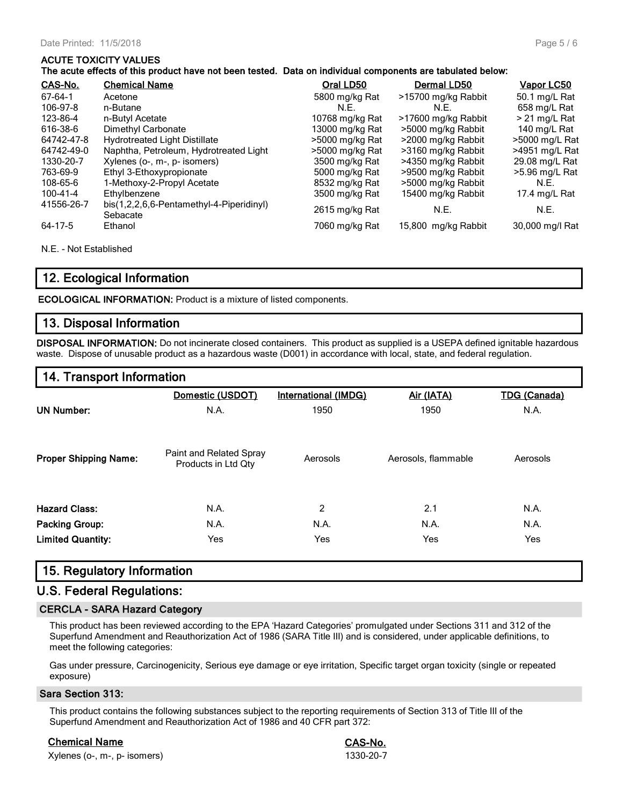#### **ACUTE TOXICITY VALUES**

| <u>CAS-No.</u> | <b>Chemical Name</b>                                 | Oral LD50       | Dermal LD50         | <u>Vapor LC50</u> |
|----------------|------------------------------------------------------|-----------------|---------------------|-------------------|
| 67-64-1        | Acetone                                              | 5800 mg/kg Rat  | >15700 mg/kg Rabbit | 50.1 mg/L Rat     |
| 106-97-8       | n-Butane                                             | N.E.            | N.E.                | 658 mg/L Rat      |
| 123-86-4       | n-Butyl Acetate                                      | 10768 mg/kg Rat | >17600 mg/kg Rabbit | $>$ 21 mg/L Rat   |
| 616-38-6       | Dimethyl Carbonate                                   | 13000 mg/kg Rat | >5000 mg/kg Rabbit  | 140 mg/L Rat      |
| 64742-47-8     | <b>Hydrotreated Light Distillate</b>                 | >5000 mg/kg Rat | >2000 mg/kg Rabbit  | >5000 mg/L Rat    |
| 64742-49-0     | Naphtha, Petroleum, Hydrotreated Light               | >5000 mg/kg Rat | >3160 mg/kg Rabbit  | $>4951$ mg/L Rat  |
| 1330-20-7      | Xylenes (o-, m-, p- isomers)                         | 3500 mg/kg Rat  | >4350 mg/kg Rabbit  | 29.08 mg/L Rat    |
| 763-69-9       | Ethyl 3-Ethoxypropionate                             | 5000 mg/kg Rat  | >9500 mg/kg Rabbit  | >5.96 mg/L Rat    |
| 108-65-6       | 1-Methoxy-2-Propyl Acetate                           | 8532 mg/kg Rat  | >5000 mg/kg Rabbit  | N.E.              |
| 100-41-4       | Ethylbenzene                                         | 3500 mg/kg Rat  | 15400 mg/kg Rabbit  | 17.4 mg/L Rat     |
| 41556-26-7     | bis(1,2,2,6,6-Pentamethyl-4-Piperidinyl)<br>Sebacate | 2615 mg/kg Rat  | N.E.                | N.E.              |
| 64-17-5        | Ethanol                                              | 7060 mg/kg Rat  | 15,800 mg/kg Rabbit | 30,000 mg/l Rat   |

N.E. - Not Established

## **12. Ecological Information**

**ECOLOGICAL INFORMATION:** Product is a mixture of listed components.

# **13. Disposal Information**

**DISPOSAL INFORMATION:** Do not incinerate closed containers. This product as supplied is a USEPA defined ignitable hazardous waste. Dispose of unusable product as a hazardous waste (D001) in accordance with local, state, and federal regulation.

# **14. Transport Information**

|                              | Domestic (USDOT)                               | <b>International (IMDG)</b> | Air (IATA)          | <b>TDG (Canada)</b> |
|------------------------------|------------------------------------------------|-----------------------------|---------------------|---------------------|
| <b>UN Number:</b>            | N.A.                                           | 1950                        | 1950                | N.A.                |
| <b>Proper Shipping Name:</b> | Paint and Related Spray<br>Products in Ltd Qty | Aerosols                    | Aerosols, flammable | Aerosols            |
| <b>Hazard Class:</b>         | N.A.                                           | $\overline{2}$              | 2.1                 | N.A.                |
| <b>Packing Group:</b>        | N.A.                                           | N.A.                        | N.A.                | N.A.                |
| <b>Limited Quantity:</b>     | Yes                                            | Yes                         | Yes                 | Yes                 |

## **15. Regulatory Information**

# **U.S. Federal Regulations:**

#### **CERCLA - SARA Hazard Category**

This product has been reviewed according to the EPA 'Hazard Categories' promulgated under Sections 311 and 312 of the Superfund Amendment and Reauthorization Act of 1986 (SARA Title III) and is considered, under applicable definitions, to meet the following categories:

Gas under pressure, Carcinogenicity, Serious eye damage or eye irritation, Specific target organ toxicity (single or repeated exposure)

#### **Sara Section 313:**

This product contains the following substances subject to the reporting requirements of Section 313 of Title III of the Superfund Amendment and Reauthorization Act of 1986 and 40 CFR part 372:

**Chemical Name CAS-No.** Xylenes (o-, m-, p- isomers) 1330-20-7